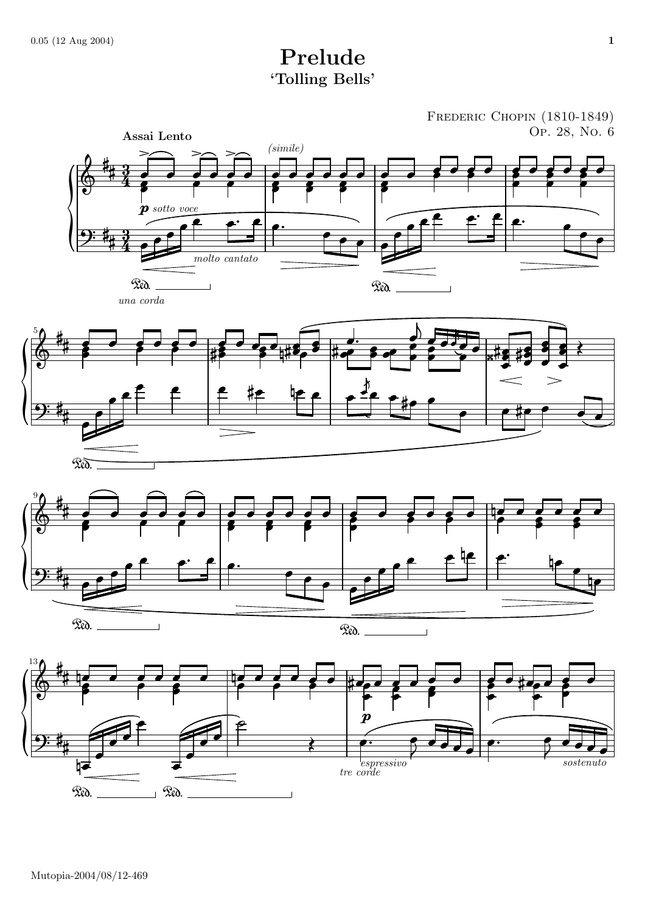## Prelude 'Tolling Bells'

FREDERIC CHOPIN (1810-1849) Op. 28, No. 6